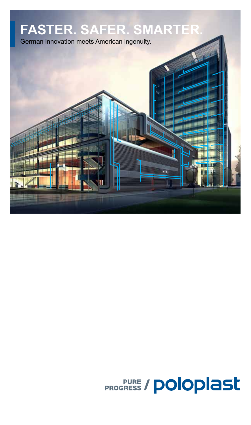

# **PROGRESS / POloplast**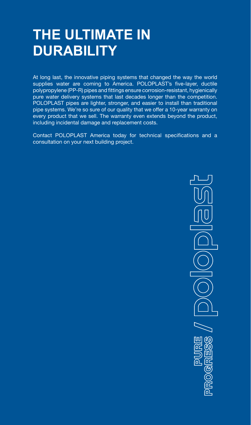## **THE ULTIMATE IN DURABILITY**

At long last, the innovative piping systems that changed the way the world supplies water are coming to America. POLOPLAST's five-layer, ductile polypropylene (PP-R) pipes and fittings ensure corrosion-resistant, hygienically pure water delivery systems that last decades longer than the competition. POLOPLAST pipes are lighter, stronger, and easier to install than traditional pipe systems. We're so sure of our quality that we offer a 10-year warranty on every product that we sell. The warranty even extends beyond the product, including incidental damage and replacement costs.

Contact POLOPLAST America today for technical specifications and a consultation on your next building project.

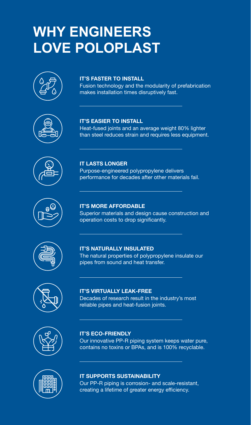## **WHY ENGINEERS LOVE POLOPLAST**



#### **IT'S FASTER TO INSTALL**

**IT'S EASIER TO INSTALL**

Fusion technology and the modularity of prefabrication makes installation times disruptively fast.

Heat-fused joints and an average weight 80% lighter than steel reduces strain and requires less equipment.

Purpose-engineered polypropylene delivers









### performance for decades after other materials fail.

**IT LASTS LONGER**

#### **IT'S MORE AFFORDABLE**

Superior materials and design cause construction and operation costs to drop significantly.

### **IT'S NATURALLY INSULATED**

The natural properties of polypropylene insulate our pipes from sound and heat transfer.

#### **IT'S VIRTUALLY LEAK-FREE** Decades of research result in the industry's most

reliable pipes and heat-fusion joints.



#### **IT'S ECO-FRIENDLY**

Our innovative PP-R piping system keeps water pure, contains no toxins or BPAs, and is 100% recyclable.



#### **IT SUPPORTS SUSTAINABILITY**

Our PP-R piping is corrosion- and scale-resistant, creating a lifetime of greater energy efficiency.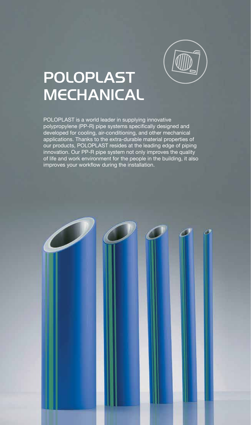

## POLOPLAST **MECHANICAL**

POLOPLAST is a world leader in supplying innovative polypropylene (PP-R) pipe systems specifically designed and developed for cooling, air-conditioning, and other mechanical applications. Thanks to the extra-durable material properties of our products, POLOPLAST resides at the leading edge of piping innovation. Our PP-R pipe system not only improves the quality of life and work environment for the people in the building, it also improves your workflow during the installation.

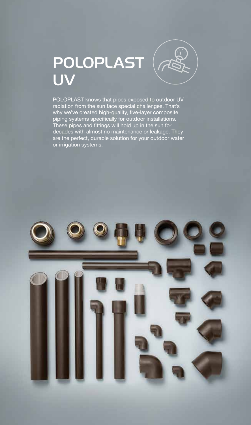## POLOPLAST UV



POLOPLAST knows that pipes exposed to outdoor UV radiation from the sun face special challenges. That's why we've created high-quality, five-layer composite piping systems specifically for outdoor installations. These pipes and fittings will hold up in the sun for decades with almost no maintenance or leakage. They are the perfect, durable solution for your outdoor water or irrigation systems.

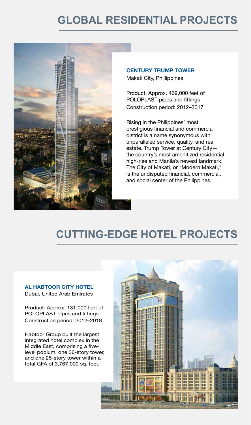### **GLOBAL RESIDENTIAL PROJECTS**



**CENTURY TRUMP TOWER**

Makati City, Phillippines

Product: Approx. 469,000 feet of POLOPLAST pipes and fittings Construction period: 2012–2017

Rising in the Philippines' most prestigious financial and commercial district is a name synonymous with unparalleled service, quality, and real estate. Trump Tower at Century City the country's most amenitized residential high-rise and Manila's newest landmark. The City of Makati, or "Modern Makati," is the undisputed financial, commercial, and social center of the Philippines.

### **CUTTING-EDGE HOTEL PROJECTS**

#### **AL HABTOOR CITY HOTEL**

Dubai, United Arab Emirates

Product: Approx. 131,000 feet of POLOPLAST pipes and fittings Construction period: 2012–2018

Habtoor Group built the largest integrated hotel complex in the Middle East, comprising a fivelevel podium, one 36-story tower, and one 25-story tower within a total GFA of 3,767,000 sq. feet.